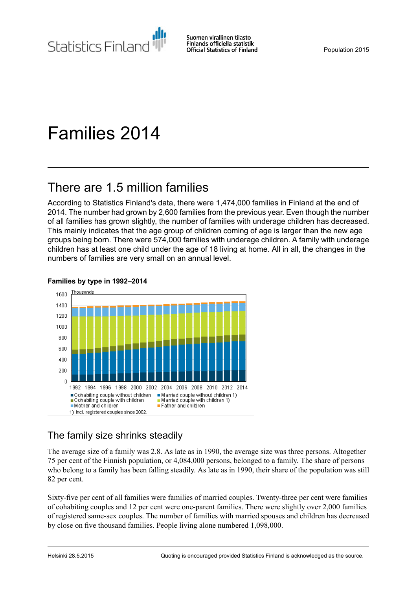Statistics Finland

Suomen virallinen tilasto Finlands officiella statistik **Official Statistics of Finland** 

# Families 2014

## There are 1.5 million families

According to Statistics Finland's data, there were 1,474,000 families in Finland at the end of 2014. The number had grown by 2,600 families from the previous year. Even though the number of all families has grown slightly, the number of families with underage children has decreased. This mainly indicates that the age group of children coming of age is larger than the new age groups being born. There were 574,000 families with underage children. A family with underage children has at least one child under the age of 18 living at home. All in all, the changes in the numbers of families are very small on an annual level.

#### **Families by type in 1992–2014**



#### The family size shrinks steadily

The average size of a family was 2.8. As late as in 1990, the average size was three persons. Altogether 75 per cent of the Finnish population, or 4,084,000 persons, belonged to a family. The share of persons who belong to a family has been falling steadily. As late as in 1990, their share of the population was still 82 per cent.

Sixty-five per cent of all families were families of married couples. Twenty-three per cent were families of cohabiting couples and 12 per cent were one-parent families. There were slightly over 2,000 families of registered same-sex couples. The number of families with married spouses and children has decreased by close on five thousand families. People living alone numbered 1,098,000.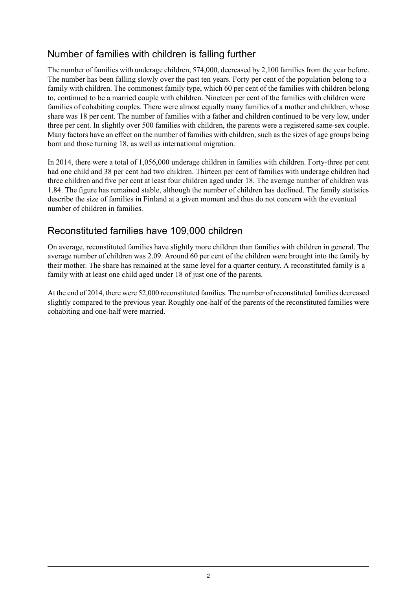#### Number of families with children is falling further

The number of families with underage children, 574,000, decreased by 2,100 families from the year before. The number has been falling slowly over the past ten years. Forty per cent of the population belong to a family with children. The commonest family type, which 60 per cent of the families with children belong to, continued to be a married couple with children. Nineteen per cent of the families with children were families of cohabiting couples. There were almost equally many families of a mother and children, whose share was 18 per cent. The number of families with a father and children continued to be very low, under three per cent. In slightly over 500 families with children, the parents were a registered same-sex couple. Many factors have an effect on the number of families with children, such as the sizes of age groups being born and those turning 18, as well as international migration.

In 2014, there were a total of 1,056,000 underage children in families with children. Forty-three per cent had one child and 38 per cent had two children. Thirteen per cent of families with underage children had three children and five per cent at least four children aged under 18. The average number of children was 1.84. The figure has remained stable, although the number of children has declined. The family statistics describe the size of families in Finland at a given moment and thus do not concern with the eventual number of children in families.

#### Reconstituted families have 109,000 children

On average, reconstituted families have slightly more children than families with children in general. The average number of children was 2.09. Around 60 per cent of the children were brought into the family by their mother. The share has remained at the same level for a quarter century. A reconstituted family is a family with at least one child aged under 18 of just one of the parents.

At the end of 2014, there were 52,000 reconstituted families. The number of reconstituted families decreased slightly compared to the previous year. Roughly one-half of the parents of the reconstituted families were cohabiting and one-half were married.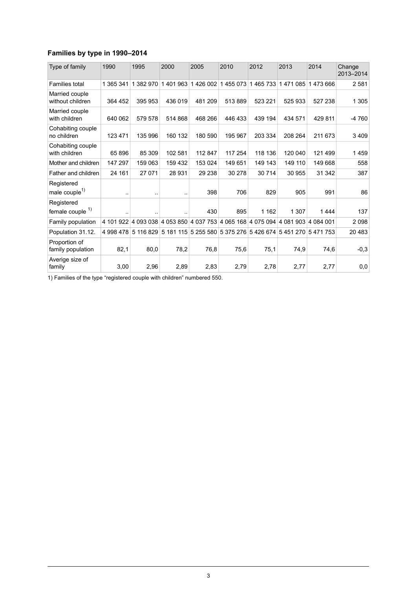#### **Families by type in 1990–2014**

| Type of family                          | 1990                 | 1995                | 2000      | 2005     | 2010                                                        | 2012    | 2013    | 2014    | Change<br>2013-2014 |
|-----------------------------------------|----------------------|---------------------|-----------|----------|-------------------------------------------------------------|---------|---------|---------|---------------------|
| Families total                          | 1 365 341            | 1 382 970           | 1401963   | 1426 002 | 1455073                                                     | 1465733 | 1471085 | 1473666 | 2581                |
| Married couple<br>without children      | 364 452              | 395 953             | 436 019   | 481 209  | 513889                                                      | 523 221 | 525 933 | 527 238 | 1 3 0 5             |
| Married couple<br>with children         | 640 062              | 579 578             | 514 868   | 468 266  | 446 433                                                     | 439 194 | 434 571 | 429 811 | $-4760$             |
| Cohabiting couple<br>no children        | 123 471              | 135 996             | 160 132   | 180 590  | 195 967                                                     | 203 334 | 208 264 | 211 673 | 3409                |
| Cohabiting couple<br>with children      | 65 896               | 85 309              | 102 581   | 112 847  | 117 254                                                     | 118 136 | 120 040 | 121 499 | 1459                |
| Mother and children                     | 147 297              | 159 063             | 159 432   | 153 024  | 149 651                                                     | 149 143 | 149 110 | 149 668 | 558                 |
| Father and children                     | 24 161               | 27 071              | 28 931    | 29 238   | 30 278                                                      | 30714   | 30 955  | 31 342  | 387                 |
| Registered<br>male couple <sup>1)</sup> | $\ddot{\phantom{a}}$ |                     | $\ddotsc$ | 398      | 706                                                         | 829     | 905     | 991     | 86                  |
| Registered<br>female couple $1$ )       |                      |                     |           | 430      | 895                                                         | 1 1 6 2 | 1 307   | 1444    | 137                 |
| Family population                       |                      | 4 101 922 4 093 038 |           |          | 4 053 850 4 037 753 4 065 168 4 075 094 4 081 903 4 084 001 |         |         |         | 2098                |
| Population 31.12.                       | 4 998 478            | 5 116 829           |           |          | 5 181 115 5 255 580 5 375 276 5 426 674 5 451 270           |         |         | 5471753 | 20 4 83             |
| Proportion of<br>family population      | 82,1                 | 80,0                | 78,2      | 76,8     | 75,6                                                        | 75,1    | 74,9    | 74,6    | $-0,3$              |
| Averige size of<br>family               | 3,00                 | 2,96                | 2,89      | 2,83     | 2,79                                                        | 2,78    | 2,77    | 2,77    | 0,0                 |

1) Families of the type "registered couple with children" numbered 550.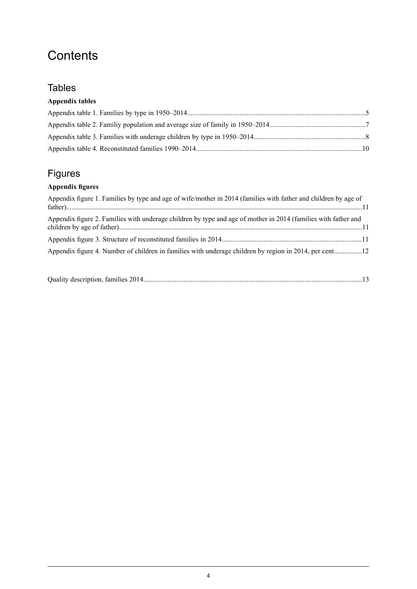## **Contents**

#### **Tables**

#### **Appendix tables**

## Figures

#### **Appendix figures**

| Appendix figure 1. Families by type and age of wife/mother in 2014 (families with father and children by age of |
|-----------------------------------------------------------------------------------------------------------------|
| Appendix figure 2. Families with underage children by type and age of mother in 2014 (families with father and  |
|                                                                                                                 |
| Appendix figure 4. Number of children in families with underage children by region in 2014, per cent12          |

|--|--|--|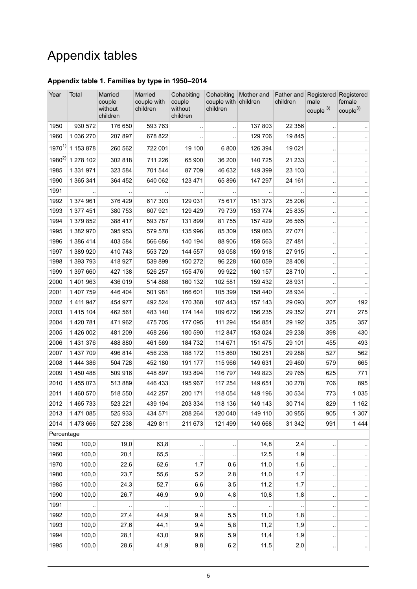## Appendix tables

#### <span id="page-4-0"></span>**Appendix table 1. Families by type in 1950–2014**

| Year       | Total       | <b>Married</b><br>couple<br>without<br>children | Married<br>couple with<br>children | Cohabiting<br>couple<br>without<br>children | Cohabiting<br>couple with children<br>children | Mother and           | children             | Father and Registered Registered<br>male<br>couple $3)$ | female<br>couple <sup>3</sup> |
|------------|-------------|-------------------------------------------------|------------------------------------|---------------------------------------------|------------------------------------------------|----------------------|----------------------|---------------------------------------------------------|-------------------------------|
| 1950       | 930 572     | 176 650                                         | 593 763                            |                                             | $\ddot{\phantom{a}}$                           | 137 803              | 22 3 5 6             | $\ddot{\phantom{0}}$                                    |                               |
| 1960       | 1 036 270   | 207 897                                         | 678 822                            |                                             |                                                | 129 706              | 19845                |                                                         |                               |
| $1970^{1}$ | 1 153 878   | 260 562                                         | 722 001                            | 19 100                                      | 6800                                           | 126 394              | 19 0 21              | $\ddot{\phantom{0}}$                                    |                               |
| $1980^{2}$ | 1 278 102   | 302 818                                         | 711 226                            | 65 900                                      | 36 200                                         | 140 725              | 21 233               | $\ddot{\phantom{0}}$                                    |                               |
| 1985       | 1 331 971   | 323 584                                         | 701 544                            | 87 709                                      | 46 632                                         | 149 399              | 23 103               |                                                         |                               |
| 1990       | 1 365 341   | 364 452                                         | 640 062                            | 123 471                                     | 65 896                                         | 147 297              | 24 161               |                                                         |                               |
| 1991       |             |                                                 |                                    |                                             |                                                |                      |                      | $\ddot{\phantom{0}}$                                    |                               |
| 1992       | 1 374 961   | 376 429                                         | 617 303                            | 129 031                                     | 75 617                                         | 151 373              | 25 208               | $\ddot{\phantom{0}}$                                    |                               |
| 1993       | 1 377 451   | 380 753                                         | 607 921                            | 129 429                                     | 79 739                                         | 153 774              | 25 835               | $\ddot{\phantom{0}}$                                    |                               |
| 1994       | 1 379 852   | 388 417                                         | 593 787                            | 131 899                                     | 81755                                          | 157 429              | 26 565               |                                                         |                               |
| 1995       | 1 382 970   | 395 953                                         | 579 578                            | 135 996                                     | 85 309                                         | 159 063              | 27 071               | $\ddot{\phantom{0}}$                                    |                               |
| 1996       | 1 386 414   | 403 584                                         | 566 686                            | 140 194                                     | 88 906                                         | 159 563              | 27481                |                                                         |                               |
| 1997       | 1 389 920   | 410 743                                         | 553729                             | 144 557                                     | 93 058                                         | 159 918              | 27915                | $\ddot{\phantom{0}}$                                    |                               |
| 1998       | 1 393 793   | 418 927                                         | 539 899                            | 150 272                                     | 96 228                                         | 160 059              | 28 4 08              | $\ddot{\phantom{0}}$                                    |                               |
| 1999       | 1 397 660   | 427 138                                         | 526 257                            | 155 476                                     | 99 922                                         | 160 157              | 28710                | $\ddot{\phantom{0}}$                                    |                               |
| 2000       | 1 401 963   | 436 019                                         | 514 868                            | 160 132                                     | 102 581                                        | 159 432              | 28 931               | $\ddot{\phantom{0}}$                                    |                               |
| 2001       | 1 407 759   | 446 404                                         | 501 981                            | 166 601                                     | 105 399                                        | 158 440              | 28 934               |                                                         |                               |
| 2002       | 1 4 1 9 4 7 | 454 977                                         | 492 524                            | 170 368                                     | 107 443                                        | 157 143              | 29 0 93              | 207                                                     | 192                           |
| 2003       | 1 415 104   | 462 561                                         | 483 140                            | 174 144                                     | 109 672                                        | 156 235              | 29 352               | 271                                                     | 275                           |
| 2004       | 1 420 781   | 471962                                          | 475 705                            | 177 095                                     | 111 294                                        | 154 851              | 29 192               | 325                                                     | 357                           |
| 2005       | 1 426 002   | 481 209                                         | 468 266                            | 180 590                                     | 112 847                                        | 153 024              | 29 238               | 398                                                     | 430                           |
| 2006       | 1 431 376   | 488 880                                         | 461 569                            | 184 732                                     | 114 671                                        | 151 475              | 29 101               | 455                                                     | 493                           |
| 2007       | 1 437 709   | 496 814                                         | 456 235                            | 188 172                                     | 115 860                                        | 150 251              | 29 28 8              | 527                                                     | 562                           |
| 2008       | 1 444 386   | 504 728                                         | 452 180                            | 191 177                                     | 115 966                                        | 149 631              | 29 4 60              | 579                                                     | 665                           |
| 2009       | 1 450 488   | 509 916                                         | 448 897                            | 193 894                                     | 116 797                                        | 149 823              | 29 7 65              | 625                                                     | 771                           |
| 2010       | 1 455 073   | 513 889                                         | 446 433                            | 195 967                                     | 117 254                                        | 149 651              | 30 278               | 706                                                     | 895                           |
| 2011       | 1 460 570   | 518 550                                         | 442 257                            | 200 171                                     | 118 054                                        | 149 196              | 30 534               | 773                                                     | 1035                          |
| 2012       | 1 465 733   | 523 221                                         | 439 194                            | 203 334                                     | 118 136                                        | 149 143              | 30 714               | 829                                                     | 1 1 6 2                       |
| 2013       | 1 471 085   | 525 933                                         | 434 571                            | 208 264                                     | 120 040                                        | 149 110              | 30 955               | 905                                                     | 1 3 0 7                       |
| 2014       | 1473666     | 527 238                                         | 429 811                            | 211 673                                     | 121 499                                        | 149 668              | 31 342               | 991                                                     | 1444                          |
| Percentage |             |                                                 |                                    |                                             |                                                |                      |                      |                                                         |                               |
| 1950       | 100,0       | 19,0                                            | 63,8                               |                                             |                                                | 14,8                 | 2,4                  | $\ddot{\phantom{0}}$                                    |                               |
| 1960       | 100,0       | 20,1                                            | 65,5                               |                                             |                                                | 12,5                 | 1,9                  |                                                         |                               |
| 1970       | 100,0       | 22,6                                            | 62,6                               | 1,7                                         | 0,6                                            | 11,0                 | 1,6                  |                                                         |                               |
| 1980       | 100,0       | 23,7                                            | 55,6                               | 5,2                                         | 2,8                                            | 11,0                 | 1,7                  | $\ddot{\phantom{0}}$                                    |                               |
| 1985       | 100,0       | 24,3                                            | 52,7                               | 6,6                                         | 3,5                                            | 11,2                 | 1,7                  |                                                         |                               |
| 1990       | 100,0       | 26,7                                            | 46,9                               | 9,0                                         | 4,8                                            | 10,8                 | 1,8                  | $\ddot{\phantom{0}}$                                    |                               |
| 1991       | $\ddotsc$   | $\epsilon$ .                                    | $\ddot{\phantom{1}}$               | $\sim$                                      | $\ldots$                                       | $\ddot{\phantom{1}}$ | $\ddot{\phantom{1}}$ | $\ddot{\phantom{1}}$                                    |                               |
| 1992       | 100,0       | 27,4                                            | 44,9                               | 9,4                                         | 5,5                                            | 11,0                 | 1,8                  |                                                         |                               |
| 1993       | 100,0       | 27,6                                            | 44,1                               | 9,4                                         | 5,8                                            | 11,2                 | 1,9                  | $\ddot{\phantom{0}}$                                    |                               |
| 1994       | 100,0       | 28,1                                            | 43,0                               | 9,6                                         | 5,9                                            | 11,4                 | 1,9                  |                                                         |                               |
| 1995       | 100,0       | 28,6                                            | 41,9                               | 9,8                                         | 6,2                                            | 11,5                 | 2,0                  | $\ddot{\phantom{0}}$                                    |                               |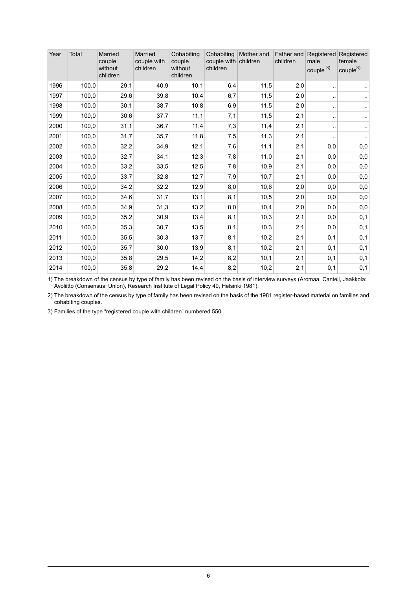| Year | Total | Married<br>couple<br>without<br>children | Married<br>couple with<br>children | Cohabiting<br>couple<br>without<br>children | Cohabiting<br>couple with<br>children | Mother and<br>children | children | Father and Registered<br>male<br>couple $3)$ | Registered<br>female<br>couple <sup>3</sup> |
|------|-------|------------------------------------------|------------------------------------|---------------------------------------------|---------------------------------------|------------------------|----------|----------------------------------------------|---------------------------------------------|
| 1996 | 100,0 | 29,1                                     | 40,9                               | 10,1                                        | 6,4                                   | 11,5                   | 2,0      | $\ddot{\phantom{0}}$                         |                                             |
| 1997 | 100,0 | 29,6                                     | 39,8                               | 10,4                                        | 6,7                                   | 11,5                   | 2,0      |                                              |                                             |
| 1998 | 100,0 | 30,1                                     | 38,7                               | 10,8                                        | 6,9                                   | 11,5                   | 2,0      | $\ddot{\phantom{1}}$                         |                                             |
| 1999 | 100,0 | 30,6                                     | 37,7                               | 11,1                                        | 7,1                                   | 11,5                   | 2,1      | $\ddot{\phantom{0}}$                         |                                             |
| 2000 | 100,0 | 31,1                                     | 36,7                               | 11,4                                        | 7,3                                   | 11,4                   | 2,1      | $\ddotsc$                                    | $\ddotsc$                                   |
| 2001 | 100,0 | 31,7                                     | 35,7                               | 11,8                                        | 7,5                                   | 11,3                   | 2,1      | $\ddot{\phantom{0}}$                         |                                             |
| 2002 | 100,0 | 32,2                                     | 34,9                               | 12,1                                        | 7,6                                   | 11,1                   | 2,1      | 0,0                                          | 0,0                                         |
| 2003 | 100,0 | 32,7                                     | 34,1                               | 12,3                                        | 7,8                                   | 11,0                   | 2,1      | 0,0                                          | 0,0                                         |
| 2004 | 100,0 | 33,2                                     | 33,5                               | 12,5                                        | 7,8                                   | 10,9                   | 2,1      | 0,0                                          | 0,0                                         |
| 2005 | 100,0 | 33,7                                     | 32,8                               | 12,7                                        | 7,9                                   | 10,7                   | 2,1      | 0,0                                          | 0,0                                         |
| 2006 | 100,0 | 34,2                                     | 32,2                               | 12,9                                        | 8,0                                   | 10,6                   | 2,0      | 0,0                                          | 0,0                                         |
| 2007 | 100,0 | 34,6                                     | 31,7                               | 13,1                                        | 8,1                                   | 10,5                   | 2,0      | 0,0                                          | 0,0                                         |
| 2008 | 100,0 | 34,9                                     | 31,3                               | 13,2                                        | 8,0                                   | 10,4                   | 2,0      | 0,0                                          | 0,0                                         |
| 2009 | 100,0 | 35,2                                     | 30,9                               | 13,4                                        | 8,1                                   | 10,3                   | 2,1      | 0,0                                          | 0,1                                         |
| 2010 | 100,0 | 35,3                                     | 30,7                               | 13,5                                        | 8,1                                   | 10,3                   | 2,1      | 0,0                                          | 0,1                                         |
| 2011 | 100,0 | 35,5                                     | 30,3                               | 13,7                                        | 8,1                                   | 10,2                   | 2,1      | 0,1                                          | 0,1                                         |
| 2012 | 100,0 | 35,7                                     | 30,0                               | 13,9                                        | 8,1                                   | 10,2                   | 2,1      | 0,1                                          | 0,1                                         |
| 2013 | 100,0 | 35,8                                     | 29,5                               | 14,2                                        | 8,2                                   | 10,1                   | 2,1      | 0,1                                          | 0,1                                         |
| 2014 | 100,0 | 35,8                                     | 29,2                               | 14,4                                        | 8,2                                   | 10,2                   | 2,1      | 0,1                                          | 0,1                                         |

The breakdown of the census by type of family has been revised on the basis of interview surveys (Aromaa, Cantell, Jaakkola: Avoliitto (Consensual Union), Research Institute of Legal Policy 49, Helsinki 1981). 1)

2) The breakdown of the census by type of family has been revised on the basis of the 1981 register-based material on families and cohabiting couples.

3) Families of the type "registered couple with children" numbered 550.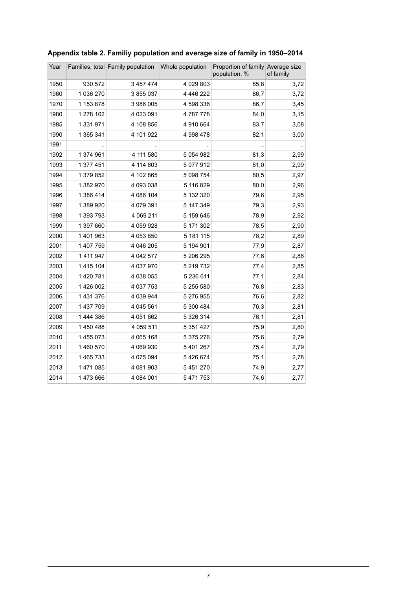| Year |           | Families, total Family population | Whole population | Proportion of family Average size<br>population, % | of family |
|------|-----------|-----------------------------------|------------------|----------------------------------------------------|-----------|
| 1950 | 930 572   | 3 457 474                         | 4 0 29 8 0 3     | 85,8                                               | 3,72      |
| 1960 | 1 036 270 | 3 855 037                         | 4 4 4 6 2 2 2    | 86,7                                               | 3,72      |
| 1970 | 1 153 878 | 3 986 005                         | 4 598 336        | 86,7                                               | 3,45      |
| 1980 | 1 278 102 | 4 023 091                         | 4787778          | 84,0                                               | 3,15      |
| 1985 | 1 331 971 | 4 108 856                         | 4 910 664        | 83,7                                               | 3,08      |
| 1990 | 1 365 341 | 4 101 922                         | 4 998 478        | 82,1                                               | 3,00      |
| 1991 |           |                                   |                  |                                                    |           |
| 1992 | 1 374 961 | 4 111 580                         | 5 0 5 4 9 8 2    | 81,3                                               | 2,99      |
| 1993 | 1 377 451 | 4 114 603                         | 5 077 912        | 81,0                                               | 2,99      |
| 1994 | 1 379 852 | 4 102 865                         | 5 098 754        | 80,5                                               | 2,97      |
| 1995 | 1 382 970 | 4 093 038                         | 5 116 829        | 80,0                                               | 2,96      |
| 1996 | 1 386 414 | 4 086 104                         | 5 132 320        | 79,6                                               | 2,95      |
| 1997 | 1 389 920 | 4 079 391                         | 5 147 349        | 79,3                                               | 2,93      |
| 1998 | 1 393 793 | 4 069 211                         | 5 159 646        | 78,9                                               | 2,92      |
| 1999 | 1 397 660 | 4 059 928                         | 5 171 302        | 78,5                                               | 2,90      |
| 2000 | 1 401 963 | 4 053 850                         | 5 181 115        | 78,2                                               | 2,89      |
| 2001 | 1 407 759 | 4 046 205                         | 5 194 901        | 77,9                                               | 2,87      |
| 2002 | 1 411 947 | 4 042 577                         | 5 206 295        | 77,6                                               | 2,86      |
| 2003 | 1 415 104 | 4 037 970                         | 5 219 732        | 77,4                                               | 2,85      |
| 2004 | 1 420 781 | 4 038 055                         | 5 236 611        | 77,1                                               | 2,84      |
| 2005 | 1 426 002 | 4 037 753                         | 5 255 580        | 76,8                                               | 2,83      |
| 2006 | 1 431 376 | 4 039 944                         | 5 276 955        | 76,6                                               | 2,82      |
| 2007 | 1 437 709 | 4 045 561                         | 5 300 484        | 76,3                                               | 2,81      |
| 2008 | 1 444 386 | 4 051 662                         | 5 326 314        | 76,1                                               | 2,81      |
| 2009 | 1 450 488 | 4 059 511                         | 5 3 5 1 4 2 7    | 75,9                                               | 2,80      |
| 2010 | 1 455 073 | 4 065 168                         | 5 375 276        | 75,6                                               | 2,79      |
| 2011 | 1 460 570 | 4 069 930                         | 5 401 267        | 75,4                                               | 2,79      |
| 2012 | 1 465 733 | 4 075 094                         | 5426674          | 75,1                                               | 2,78      |
| 2013 | 1 471 085 | 4 081 903                         | 5 4 5 1 2 7 0    | 74,9                                               | 2,77      |
| 2014 | 1473666   | 4 084 001                         | 5 471 753        | 74,6                                               | 2,77      |

#### <span id="page-6-0"></span>**Appendix table 2. Familiy population and average size of family in 1950–2014**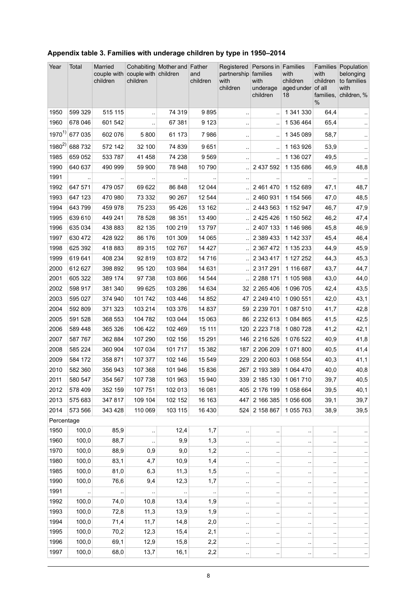| Year         | Total          | Married<br>couple with<br>children | couple with children<br>children | Cohabiting Mother and Father | and<br>children | Registered<br>partnership<br>with<br>children | Persons in Families<br>families<br>with<br>underage<br>children | with<br>children<br>aged under of all<br>18 | with<br>children<br>families,<br>$\%$ | Families Population<br>belonging<br>to families<br>with<br>children, % |
|--------------|----------------|------------------------------------|----------------------------------|------------------------------|-----------------|-----------------------------------------------|-----------------------------------------------------------------|---------------------------------------------|---------------------------------------|------------------------------------------------------------------------|
| 1950         | 599 329        | 515 115                            | $\ddotsc$                        | 74 319                       | 9895            | $\ddot{\phantom{1}}$                          |                                                                 | 1 341 330                                   | 64,4                                  | $\cdot$ .                                                              |
| 1960         | 678 046        | 601 542                            |                                  | 67 381                       | 9 1 2 3         | $\ddot{\phantom{a}}$                          |                                                                 | 1 536 464                                   | 65,4                                  |                                                                        |
| $1970^{1}$   | 677 035        | 602 076                            | 5800                             | 61 173                       | 7986            | $\ddot{\phantom{a}}$                          |                                                                 | 1 345 089                                   | 58,7                                  | $\sim$                                                                 |
| $1980^{2}$   | 688 732        | 572 142                            | 32 100                           | 74 839                       | 9651            | $\ddot{\phantom{a}}$                          |                                                                 | 1 163 926                                   | 53,9                                  | $\ddot{\phantom{1}}$                                                   |
| 1985         | 659 052        | 533 787                            | 41 458                           | 74 238                       | 9 5 6 9         | $\ddot{\phantom{1}}$ .                        |                                                                 | 1 136 027                                   | 49,5                                  | $\sim$                                                                 |
| 1990         | 640 637        | 490 999                            | 59 900                           | 78 948                       | 10 790          | $\ddot{\phantom{0}}$                          | 2 437 592                                                       | 1 135 686                                   | 46,9                                  | 48,8                                                                   |
| 1991         |                |                                    |                                  |                              |                 | $\ddotsc$                                     |                                                                 |                                             |                                       |                                                                        |
| 1992         | 647 571        | 479 057                            | 69 622                           | 86 848                       | 12 044          | Ţ,                                            | 2 461 470                                                       | 1 152 689                                   | 47,1                                  | 48,7                                                                   |
| 1993         | 647 123        | 470 980                            | 73 332                           | 90 267                       | 12 544          | $\ddot{\phantom{a}}$                          | 2 460 931                                                       | 1 154 566                                   | 47,0                                  | 48,5                                                                   |
| 1994         | 643 799        | 459 978                            | 75 233                           | 95 4 26                      | 13 162          |                                               | 2 443 563                                                       | 1 152 947                                   | 46,7                                  | 47,9                                                                   |
| 1995         | 639 610        | 449 241                            | 78 528                           | 98 351                       | 13 4 90         | Ţ,                                            | 2 4 2 5 4 2 6                                                   | 1 150 562                                   | 46,2                                  | 47,4                                                                   |
| 1996         | 635 034        | 438 883                            | 82 135                           | 100 219                      | 13797           |                                               | 2 407 133                                                       | 1 146 986                                   | 45,8                                  | 46,9                                                                   |
| 1997         | 630 472        | 428 922                            | 86 176                           | 101 309                      | 14 065          |                                               | 2 389 433                                                       | 1 142 337                                   | 45,4                                  | 46,4                                                                   |
| 1998         | 625 392        | 418 883                            | 89 315                           | 102 767                      | 14 4 27         | ä,                                            | 2 3 6 7 4 7 2                                                   | 1 135 233                                   | 44,9                                  | 45,9                                                                   |
| 1999         | 619 641        | 408 234                            | 92 819                           | 103 872                      | 14 716          | ä,                                            | 2 343 417                                                       | 1 127 252                                   | 44,3                                  | 45,3                                                                   |
| 2000         | 612 627        | 398 892                            | 95 120                           | 103 984                      | 14 631          | $\ddot{\phantom{a}}$                          | 2 317 291                                                       | 1 116 687                                   | 43,7                                  | 44,7                                                                   |
| 2001         | 605 322        | 389 174                            | 97 738                           | 103 866                      | 14 544          |                                               | 2 2 8 1 7 1                                                     | 1 105 988                                   | 43,0                                  | 44,0                                                                   |
| 2002         | 598 917        | 381 340                            | 99 625                           | 103 286                      | 14 634          |                                               | 32 2 2 2 6 5 4 0 6                                              | 1 096 705                                   | 42,4                                  | 43,5                                                                   |
| 2003         | 595 027        | 374 940                            | 101 742                          | 103 446                      | 14 852          | 47                                            | 2 249 410                                                       | 1 090 551                                   | 42,0                                  | 43,1                                                                   |
| 2004         | 592 809        | 371 323                            | 103 214                          | 103 376                      | 14 837          | 59 <sup>°</sup>                               | 2 2 3 7 0 1                                                     | 1 087 510                                   | 41,7                                  | 42,8                                                                   |
| 2005         | 591 528        | 368 553                            | 104 782                          | 103 044                      | 15 063          |                                               | 86 2 2 3 2 6 1 3                                                | 1084865                                     | 41,5                                  | 42,5                                                                   |
| 2006         | 589 448        | 365 326                            | 106 422                          | 102 469                      | 15 111          | 120                                           | 2 2 2 3 7 1 8                                                   | 1 080 728                                   | 41,2                                  | 42,1                                                                   |
| 2007         | 587767         | 362 884                            | 107 290                          | 102 156                      | 15 291          |                                               | 146 2 216 526                                                   | 1 076 522                                   | 40,9                                  | 41,8                                                                   |
| 2008         | 585 224        | 360 904                            | 107 034                          | 101 717                      | 15 3 8 2        | 187                                           | 2 206 209                                                       | 1071800                                     | 40,5                                  | 41,4                                                                   |
| 2009         | 584 172        | 358 871                            | 107 377                          | 102 146                      | 15 549          | 229                                           | 2 200 603                                                       | 1 068 554                                   | 40,3                                  | 41,1                                                                   |
| 2010         | 582 360        | 356 943                            | 107 368                          | 101 946                      | 15 836          |                                               | 267 2 193 389                                                   | 1 064 470                                   | 40,0                                  | 40,8                                                                   |
| 2011         | 580 547        | 354 567                            | 107 738                          | 101 963                      | 15 940          |                                               | 339 2 185 130                                                   | 1 061 710                                   | 39,7                                  | 40,5                                                                   |
| 2012         | 578 409        | 352 159                            | 107 751                          | 102 013                      | 16 081          |                                               | 405 2 176 199                                                   | 1058664                                     | 39,5                                  | 40,1                                                                   |
| 2013         | 575 683        | 347 817                            | 109 104                          | 102 152                      | 16 163          | 447                                           | 2 166 385                                                       | 1056606                                     | 39,1                                  | 39,7                                                                   |
| 2014         | 573 566        | 343 428                            | 110 069                          | 103 115                      | 16 430          |                                               | 524 2 158 867                                                   | 1055763                                     | 38,9                                  | 39,5                                                                   |
| Percentage   |                |                                    |                                  |                              |                 |                                               |                                                                 |                                             |                                       |                                                                        |
| 1950         | 100,0          | 85,9                               |                                  | 12,4                         | 1,7             | $\ddot{\phantom{0}}$                          |                                                                 |                                             | $\ddot{\phantom{0}}$                  |                                                                        |
| 1960         | 100,0          | 88,7                               |                                  | 9,9                          | 1,3             | $\cdot$ .                                     | $\ddot{\phantom{a}}$                                            |                                             |                                       | $\cdot$ .                                                              |
| 1970         | 100,0          | 88,9                               | 0,9                              | 9,0                          | 1,2             | $\cdot$ .                                     | $\cdot$                                                         |                                             |                                       | $\cdot$                                                                |
| 1980         | 100,0          | 83,1                               | 4,7                              | 10,9                         | 1,4             | $\cdot$ .                                     | $\cdot$                                                         |                                             | $\ddot{\phantom{a}}$                  | $\cdot$ .                                                              |
| 1985         | 100,0          | 81,0                               | 6,3                              | 11,3                         | 1,5             | $\ddot{\phantom{0}}$                          | $\cdot$                                                         |                                             |                                       | $\cdot$                                                                |
| 1990         | 100,0          | 76,6                               | 9,4                              | 12,3                         | 1,7             | $\ddot{\phantom{0}}$                          | $\ddot{\phantom{0}}$                                            |                                             |                                       | $\epsilon$                                                             |
| 1991<br>1992 |                |                                    |                                  |                              |                 | $\ddot{\phantom{0}}$                          |                                                                 |                                             |                                       | $\cdot$                                                                |
| 1993         | 100,0<br>100,0 | 74,0<br>72,8                       | 10,8<br>11,3                     | 13,4<br>13,9                 | 1,9<br>1,9      | $\ddot{\phantom{1}}$                          | $\ddot{\phantom{a}}$                                            |                                             |                                       | $\cdot$                                                                |
| 1994         | 100,0          | 71,4                               | 11,7                             | 14,8                         |                 | $\cdot$ .                                     | $\cdot$                                                         | ٠.                                          | $\ddot{\phantom{0}}$                  | $\cdot$                                                                |
| 1995         | 100,0          | 70,2                               | 12,3                             | 15,4                         | 2,0<br>2,1      | $\cdot$ .                                     | $\cdot$                                                         |                                             |                                       | $\cdot$                                                                |
| 1996         | 100,0          | 69,1                               | 12,9                             | 15,8                         | 2,2             | $\ddot{\phantom{0}}$                          | $\ddot{\phantom{0}}$                                            |                                             |                                       | $\ddot{\phantom{1}}$                                                   |
| 1997         | 100,0          | 68,0                               | 13,7                             | 16,1                         | 2,2             | $\ddot{\phantom{0}}$                          | ٠.                                                              |                                             |                                       | $\sim$                                                                 |
|              |                |                                    |                                  |                              |                 |                                               |                                                                 |                                             |                                       | $\cdot$ .                                                              |

#### <span id="page-7-0"></span>**Appendix table 3. Families with underage children by type in 1950–2014**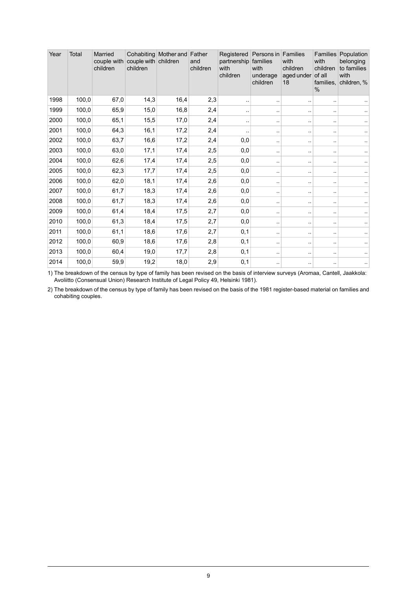| Year | Total | <b>Married</b><br>couple with<br>children | couple with children<br>children | Cohabiting Mother and Father | and<br>children | Registered<br>partnership<br>with<br>children | Persons in Families<br>families<br>with<br>underage<br>children | with<br>children<br>aged under<br>18 | Families<br>with<br>children<br>of all<br>families,<br>$\frac{0}{0}$ | Population<br>belonging<br>to families<br>with<br>children, % |
|------|-------|-------------------------------------------|----------------------------------|------------------------------|-----------------|-----------------------------------------------|-----------------------------------------------------------------|--------------------------------------|----------------------------------------------------------------------|---------------------------------------------------------------|
| 1998 | 100,0 | 67,0                                      | 14,3                             | 16,4                         | 2,3             |                                               | $\ddot{\phantom{a}}$                                            |                                      | ٠.                                                                   |                                                               |
| 1999 | 100,0 | 65,9                                      | 15,0                             | 16,8                         | 2,4             |                                               | $\sim$                                                          |                                      | $\ddot{\phantom{1}}$ .                                               |                                                               |
| 2000 | 100,0 | 65,1                                      | 15,5                             | 17,0                         | 2,4             |                                               | $\ddotsc$                                                       | ٠.                                   | $\ddot{\phantom{1}}$ .                                               |                                                               |
| 2001 | 100,0 | 64,3                                      | 16,1                             | 17,2                         | 2,4             |                                               | $\ddot{\phantom{a}}$                                            |                                      | $\ddot{\phantom{1}}$                                                 |                                                               |
| 2002 | 100,0 | 63,7                                      | 16,6                             | 17,2                         | 2,4             | 0,0                                           | $\cdot$ .                                                       | $\sim$                               | $\ddot{\phantom{1}}$                                                 |                                                               |
| 2003 | 100,0 | 63,0                                      | 17,1                             | 17,4                         | 2,5             | 0,0                                           | $\ddotsc$                                                       | ٠.                                   |                                                                      | . .                                                           |
| 2004 | 100,0 | 62,6                                      | 17,4                             | 17,4                         | 2,5             | 0,0                                           | $\ddotsc$                                                       | ٠.                                   |                                                                      |                                                               |
| 2005 | 100,0 | 62,3                                      | 17,7                             | 17,4                         | 2,5             | 0,0                                           | $\ddotsc$                                                       | $\sim$                               |                                                                      |                                                               |
| 2006 | 100,0 | 62,0                                      | 18,1                             | 17,4                         | 2,6             | 0,0                                           | $\ddot{\phantom{a}}$                                            | ٠.                                   | $\ddot{\phantom{1}}$                                                 |                                                               |
| 2007 | 100,0 | 61,7                                      | 18,3                             | 17,4                         | 2,6             | 0,0                                           | $\ddotsc$                                                       | ٠.                                   |                                                                      | . .                                                           |
| 2008 | 100,0 | 61,7                                      | 18,3                             | 17,4                         | 2,6             | 0,0                                           | $\ddotsc$                                                       | ٠.                                   | $\ddot{\phantom{1}}$ .                                               |                                                               |
| 2009 | 100,0 | 61,4                                      | 18,4                             | 17,5                         | 2,7             | 0,0                                           | $\ddotsc$                                                       |                                      |                                                                      |                                                               |
| 2010 | 100,0 | 61,3                                      | 18,4                             | 17,5                         | 2,7             | 0,0                                           | $\ddotsc$                                                       |                                      |                                                                      |                                                               |
| 2011 | 100,0 | 61,1                                      | 18,6                             | 17,6                         | 2,7             | 0,1                                           | $\ddotsc$                                                       | $\sim$                               | $\ddot{\phantom{1}}$ .                                               | ٠.                                                            |
| 2012 | 100,0 | 60,9                                      | 18,6                             | 17,6                         | 2,8             | 0,1                                           | $\ddotsc$                                                       | ٠.                                   | $\ddot{\phantom{1}}$ .                                               |                                                               |
| 2013 | 100,0 | 60,4                                      | 19,0                             | 17,7                         | 2,8             | 0,1                                           | $\ddotsc$                                                       |                                      | $\ddot{\phantom{1}}$ .                                               | ٠.                                                            |
| 2014 | 100,0 | 59,9                                      | 19,2                             | 18,0                         | 2,9             | 0,1                                           | $\ddot{\phantom{1}}$                                            |                                      | $\ddot{\phantom{1}}$                                                 |                                                               |

The breakdown of the census by type of family has been revised on the basis of interview surveys (Aromaa, Cantell, Jaakkola: Avoliitto (Consensual Union) Research Institute of Legal Policy 49, Helsinki 1981). 1)

The breakdown of the census by type of family has been revised on the basis of the 1981 register-based material on families and cohabiting couples. 2)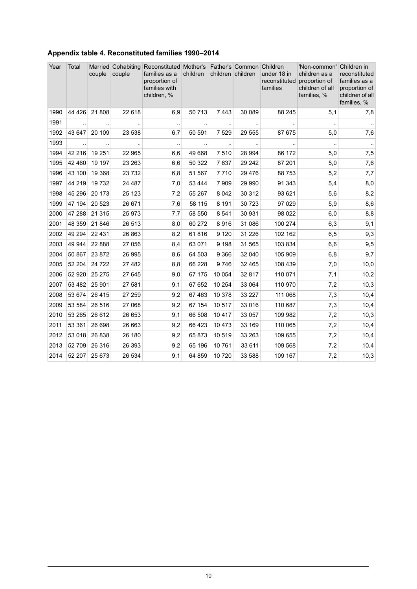<span id="page-9-0"></span>

|  | Appendix table 4. Reconstituted families 1990-2014 |  |
|--|----------------------------------------------------|--|
|  |                                                    |  |

| Year | Total                | couple   | couple               | Married Cohabiting Reconstituted Mother's Father's Common Children<br>families as a<br>proportion of<br>families with<br>children, % | children  | children children |           | under 18 in<br>families | 'Non-common'<br>children as a<br>reconstituted proportion of<br>children of all<br>families, % | Children in<br>reconstituted<br>families as a<br>proportion of<br>children of all<br>families, % |
|------|----------------------|----------|----------------------|--------------------------------------------------------------------------------------------------------------------------------------|-----------|-------------------|-----------|-------------------------|------------------------------------------------------------------------------------------------|--------------------------------------------------------------------------------------------------|
| 1990 | 44 4 26              | 21 808   | 22 618               | 6,9                                                                                                                                  | 50713     | 7443              | 30 089    | 88 245                  | 5,1                                                                                            | 7,8                                                                                              |
| 1991 |                      |          |                      |                                                                                                                                      |           |                   |           |                         |                                                                                                |                                                                                                  |
| 1992 | 43 647               | 20 109   | 23 538               | 6,7                                                                                                                                  | 50 591    | 7 5 2 9           | 29 555    | 87 675                  | 5,0                                                                                            | 7,6                                                                                              |
| 1993 | $\ddot{\phantom{a}}$ |          | $\ddot{\phantom{a}}$ | $\sim$                                                                                                                               | $\ddotsc$ | $\ddotsc$         | $\cdot$ . |                         | $\ddot{\phantom{a}}$                                                                           | $\sim$                                                                                           |
| 1994 | 42 216               | 19 251   | 22 965               | 6,6                                                                                                                                  | 49 668    | 7510              | 28 9 94   | 86 172                  | 5,0                                                                                            | 7,5                                                                                              |
| 1995 | 42 460               | 19 197   | 23 263               | 6,6                                                                                                                                  | 50 322    | 7637              | 29 24 2   | 87 201                  | 5,0                                                                                            | 7,6                                                                                              |
| 1996 | 43 100               | 19 3 68  | 23732                | 6,8                                                                                                                                  | 51 567    | 7710              | 29 4 76   | 88753                   | 5,2                                                                                            | 7,7                                                                                              |
| 1997 | 44 219               | 19 732   | 24 487               | 7,0                                                                                                                                  | 53 444    | 7 9 0 9           | 29 990    | 91 343                  | 5,4                                                                                            | 8,0                                                                                              |
| 1998 | 45 296               | 20 173   | 25 1 23              | 7,2                                                                                                                                  | 55 267    | 8 0 4 2           | 30 312    | 93 621                  | 5,6                                                                                            | 8,2                                                                                              |
| 1999 | 47 194               | 20 5 23  | 26 671               | 7,6                                                                                                                                  | 58 115    | 8 1 9 1           | 30 7 23   | 97 029                  | 5,9                                                                                            | 8,6                                                                                              |
| 2000 | 47 288               | 21 315   | 25 973               | 7,7                                                                                                                                  | 58 550    | 8541              | 30 931    | 98 0 22                 | 6,0                                                                                            | 8,8                                                                                              |
| 2001 | 48 359               | 21 846   | 26 513               | 8,0                                                                                                                                  | 60 272    | 8916              | 31 086    | 100 274                 | 6,3                                                                                            | 9,1                                                                                              |
| 2002 | 49 294               | 22 4 31  | 26 863               | 8,2                                                                                                                                  | 61816     | 9 1 2 0           | 31 2 26   | 102 162                 | 6,5                                                                                            | 9,3                                                                                              |
| 2003 | 49 944               | 22 8 8 8 | 27 056               | 8,4                                                                                                                                  | 63 071    | 9 1 9 8           | 31 565    | 103 834                 | 6,6                                                                                            | 9,5                                                                                              |
| 2004 | 50 867               | 23 872   | 26 995               | 8,6                                                                                                                                  | 64 503    | 9 3 6 6           | 32 040    | 105 909                 | 6,8                                                                                            | 9,7                                                                                              |
| 2005 | 52 204               | 24 7 22  | 27 482               | 8,8                                                                                                                                  | 66 228    | 9746              | 32 4 65   | 108 439                 | 7,0                                                                                            | 10,0                                                                                             |
| 2006 | 52 920               | 25 275   | 27 645               | 9,0                                                                                                                                  | 67 175    | 10 0 54           | 32 817    | 110 071                 | 7,1                                                                                            | 10,2                                                                                             |
| 2007 | 53 482               | 25 901   | 27 581               | 9,1                                                                                                                                  | 67 652    | 10 254            | 33 064    | 110 970                 | 7,2                                                                                            | 10,3                                                                                             |
| 2008 | 53 674               | 26 4 15  | 27 259               | 9,2                                                                                                                                  | 67 463    | 10 378            | 33 227    | 111 068                 | 7,3                                                                                            | 10,4                                                                                             |
| 2009 | 53 584               | 26 516   | 27 068               | 9,2                                                                                                                                  | 67 154    | 10 517            | 33 016    | 110 687                 | 7,3                                                                                            | 10,4                                                                                             |
| 2010 | 53 265               | 26 612   | 26 653               | 9,1                                                                                                                                  | 66 508    | 10 4 1 7          | 33 057    | 109 982                 | 7,2                                                                                            | 10,3                                                                                             |
| 2011 | 53 361               | 26 698   | 26 663               | 9,2                                                                                                                                  | 66 423    | 10 473            | 33 169    | 110 065                 | 7,2                                                                                            | 10,4                                                                                             |
| 2012 | 53 018               | 26 838   | 26 180               | 9,2                                                                                                                                  | 65873     | 10519             | 33 263    | 109 655                 | 7,2                                                                                            | 10,4                                                                                             |
| 2013 | 52 709               | 26 316   | 26 393               | 9,2                                                                                                                                  | 65 196    | 10761             | 33 611    | 109 568                 | 7,2                                                                                            | 10,4                                                                                             |
| 2014 | 52 207               | 25 673   | 26 534               | 9,1                                                                                                                                  | 64 859    | 10 720            | 33 588    | 109 167                 | 7,2                                                                                            | 10,3                                                                                             |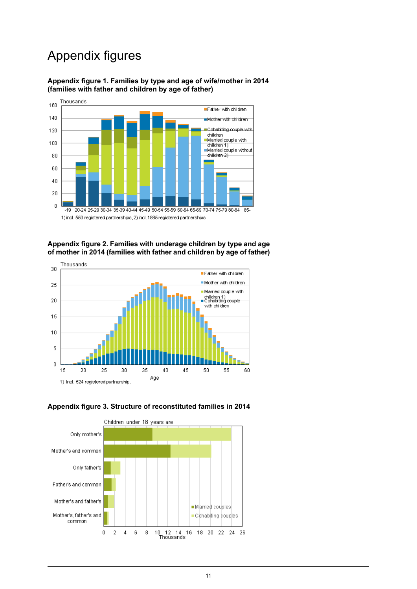## Appendix figures



<span id="page-10-0"></span>**Appendix figure 1. Families by type and age of wife/mother in 2014 (families with father and children by age of father)**

<span id="page-10-1"></span>**Appendix figure 2. Families with underage children by type and age of mother in 2014 (families with father and children by age of father)**



<span id="page-10-2"></span>

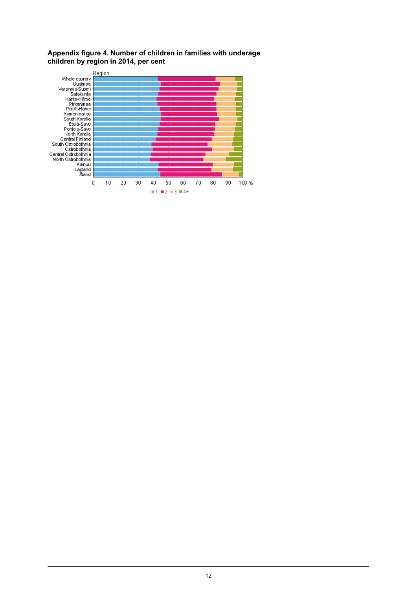#### <span id="page-11-0"></span>**Appendix figure 4. Number of children in families with underage children by region in 2014, per cent**

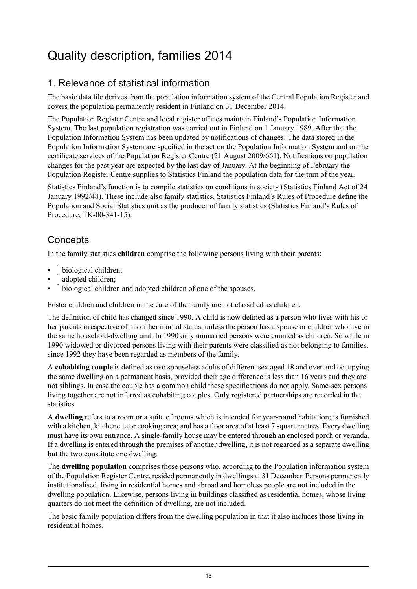## <span id="page-12-0"></span>Quality description, families 2014

## 1. Relevance of statistical information

The basic data file derives from the population information system of the Central Population Register and covers the population permanently resident in Finland on 31 December 2014.

The Population Register Centre and local register offices maintain Finland's Population Information System. The last population registration was carried out in Finland on 1 January 1989. After that the Population Information System has been updated by notifications of changes. The data stored in the Population Information System are specified in the act on the Population Information System and on the certificate services of the Population Register Centre (21 August 2009/661). Notifications on population changes for the past year are expected by the last day of January. At the beginning of February the Population Register Centre supplies to Statistics Finland the population data for the turn of the year.

Statistics Finland's function is to compile statistics on conditions in society (Statistics Finland Act of 24 January 1992/48). These include also family statistics. Statistics Finland's Rules of Procedure define the Population and Social Statistics unit as the producer of family statistics (Statistics Finland's Rules of Procedure, TK-00-341-15).

### **Concepts**

In the family statistics **children** comprise the following persons living with their parents:

- biological children;
- adopted children;
- biological children and adopted children of one of the spouses.

Foster children and children in the care of the family are not classified as children.

The definition of child has changed since 1990. A child is now defined as a person who lives with his or her parents irrespective of his or her marital status, unless the person has a spouse or children who live in the same household-dwelling unit. In 1990 only unmarried persons were counted as children. So while in 1990 widowed or divorced persons living with their parents were classified as not belonging to families, since 1992 they have been regarded as members of the family.

A **cohabiting couple** is defined as two spouseless adults of different sex aged 18 and over and occupying the same dwelling on a permanent basis, provided their age difference is less than 16 years and they are not siblings. In case the couple has a common child these specifications do not apply. Same-sex persons living together are not inferred as cohabiting couples. Only registered partnerships are recorded in the statistics.

A **dwelling** refers to a room or a suite of rooms which is intended for year-round habitation; is furnished with a kitchen, kitchenette or cooking area; and has a floor area of at least 7 square metres. Every dwelling must have its own entrance. A single-family house may be entered through an enclosed porch or veranda. If a dwelling is entered through the premises of another dwelling, it is not regarded as a separate dwelling but the two constitute one dwelling.

The **dwelling population** comprises those persons who, according to the Population information system of the Population Register Centre, resided permanently in dwellings at 31 December. Persons permanently institutionalised, living in residential homes and abroad and homeless people are not included in the dwelling population. Likewise, persons living in buildings classified as residential homes, whose living quarters do not meet the definition of dwelling, are not included.

The basic family population differs from the dwelling population in that it also includes those living in residential homes.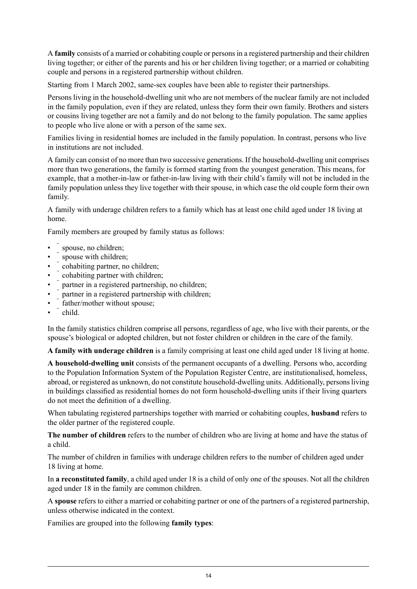A **family** consists of a married or cohabiting couple or personsin a registered partnership and their children living together; or either of the parents and his or her children living together; or a married or cohabiting couple and persons in a registered partnership without children.

Starting from 1 March 2002, same-sex couples have been able to register their partnerships.

Persons living in the household-dwelling unit who are not members of the nuclear family are not included in the family population, even if they are related, unless they form their own family. Brothers and sisters or cousins living together are not a family and do not belong to the family population. The same applies to people who live alone or with a person of the same sex.

Families living in residential homes are included in the family population. In contrast, persons who live in institutions are not included.

A family can consist of no more than two successive generations. If the household-dwelling unit comprises more than two generations, the family is formed starting from the youngest generation. This means, for example, that a mother-in-law or father-in-law living with their child's family will not be included in the family population unless they live together with their spouse, in which case the old couple form their own family.

A family with underage children refers to a family which has at least one child aged under 18 living at home.

Family members are grouped by family status as follows:

- spouse, no children;
- spouse with children:
- cohabiting partner, no children;
- cohabiting partner with children;
- partner in a registered partnership, no children;
- partner in a registered partnership with children;
- father/mother without spouse;
- child.

In the family statistics children comprise all persons, regardless of age, who live with their parents, or the spouse's biological or adopted children, but not foster children or children in the care of the family.

**A family with underage children** is a family comprising at least one child aged under 18 living at home.

**A household-dwelling unit** consists of the permanent occupants of a dwelling. Persons who, according to the Population Information System of the Population Register Centre, are institutionalised, homeless, abroad, or registered as unknown, do not constitute household-dwelling units. Additionally, persons living in buildings classified as residential homes do not form household-dwelling units if their living quarters do not meet the definition of a dwelling.

When tabulating registered partnerships together with married or cohabiting couples, **husband** refers to the older partner of the registered couple.

**The number of children** refers to the number of children who are living at home and have the status of a child.

The number of children in families with underage children refers to the number of children aged under 18 living at home.

In **a reconstituted family**, a child aged under 18 is a child of only one of the spouses. Not all the children aged under 18 in the family are common children.

A **spouse** refers to either a married or cohabiting partner or one of the partners of a registered partnership, unless otherwise indicated in the context.

Families are grouped into the following **family types**: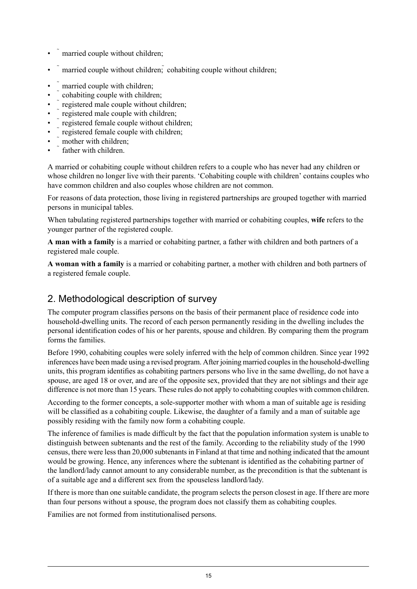- married couple without children;
- married couple without children; cohabiting couple without children;
- married couple with children;
- cohabiting couple with children;
- registered male couple without children;
- registered male couple with children;
- registered female couple without children;
- registered female couple with children;
- mother with children:
- father with children

A married or cohabiting couple without children refers to a couple who has never had any children or whose children no longer live with their parents. 'Cohabiting couple with children' contains couples who have common children and also couples whose children are not common.

For reasons of data protection, those living in registered partnerships are grouped together with married persons in municipal tables.

When tabulating registered partnerships together with married or cohabiting couples, **wife** refers to the younger partner of the registered couple.

**A man with a family** is a married or cohabiting partner, a father with children and both partners of a registered male couple.

**A woman with a family** is a married or cohabiting partner, a mother with children and both partners of a registered female couple.

#### 2. Methodological description of survey

The computer program classifies persons on the basis of their permanent place of residence code into household-dwelling units. The record of each person permanently residing in the dwelling includes the personal identification codes of his or her parents, spouse and children. By comparing them the program forms the families.

Before 1990, cohabiting couples were solely inferred with the help of common children. Since year 1992 inferences have been made using a revised program. After joining married couplesin the household-dwelling units, this program identifies as cohabiting partners persons who live in the same dwelling, do not have a spouse, are aged 18 or over, and are of the opposite sex, provided that they are not siblings and their age difference is not more than 15 years. These rules do not apply to cohabiting couples with common children.

According to the former concepts, a sole-supporter mother with whom a man of suitable age is residing will be classified as a cohabiting couple. Likewise, the daughter of a family and a man of suitable age possibly residing with the family now form a cohabiting couple.

The inference of families is made difficult by the fact that the population information system is unable to distinguish between subtenants and the rest of the family. According to the reliability study of the 1990 census, there were lessthan 20,000 subtenantsin Finland at that time and nothing indicated that the amount would be growing. Hence, any inferences where the subtenant is identified as the cohabiting partner of the landlord/lady cannot amount to any considerable number, as the precondition is that the subtenant is of a suitable age and a different sex from the spouseless landlord/lady.

If there is more than one suitable candidate, the program selects the person closest in age. If there are more than four persons without a spouse, the program does not classify them as cohabiting couples.

Families are not formed from institutionalised persons.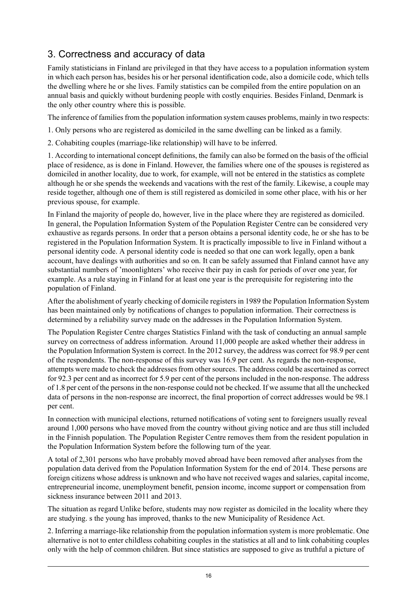## 3. Correctness and accuracy of data

Family statisticians in Finland are privileged in that they have access to a population information system in which each person has, besides his or her personal identification code, also a domicile code, which tells the dwelling where he or she lives. Family statistics can be compiled from the entire population on an annual basis and quickly without burdening people with costly enquiries. Besides Finland, Denmark is the only other country where this is possible.

The inference of families from the population information system causes problems, mainly in two respects:

1. Only persons who are registered as domiciled in the same dwelling can be linked as a family.

2. Cohabiting couples (marriage-like relationship) will have to be inferred.

1. According to international concept definitions, the family can also be formed on the basis of the official place of residence, as is done in Finland. However, the families where one of the spouses is registered as domiciled in another locality, due to work, for example, will not be entered in the statistics as complete although he or she spends the weekends and vacations with the rest of the family. Likewise, a couple may reside together, although one of them is still registered as domiciled in some other place, with his or her previous spouse, for example.

In Finland the majority of people do, however, live in the place where they are registered as domiciled. In general, the Population Information System of the Population Register Centre can be considered very exhaustive as regards persons. In order that a person obtains a personal identity code, he or she has to be registered in the Population Information System. It is practically impossible to live in Finland without a personal identity code. A personal identity code is needed so that one can work legally, open a bank account, have dealings with authorities and so on. It can be safely assumed that Finland cannot have any substantial numbers of 'moonlighters' who receive their pay in cash for periods of over one year, for example. As a rule staying in Finland for at least one year is the prerequisite for registering into the population of Finland.

After the abolishment of yearly checking of domicile registers in 1989 the Population Information System has been maintained only by notifications of changes to population information. Their correctness is determined by a reliability survey made on the addresses in the Population Information System.

The Population Register Centre charges Statistics Finland with the task of conducting an annual sample survey on correctness of address information. Around 11,000 people are asked whether their address in the Population Information System is correct. In the 2012 survey, the address was correct for 98.9 per cent of the respondents. The non-response of this survey was 16.9 per cent. As regards the non-response, attempts were made to check the addresses from other sources. The address could be ascertained as correct for 92.3 per cent and as incorrect for 5.9 per cent of the persons included in the non-response. The address of 1.8 per cent of the personsin the non-response could not be checked. If we assume that all the unchecked data of persons in the non-response are incorrect, the final proportion of correct addresses would be 98.1 per cent.

In connection with municipal elections, returned notifications of voting sent to foreigners usually reveal around 1,000 persons who have moved from the country without giving notice and are thus still included in the Finnish population. The Population Register Centre removes them from the resident population in the Population Information System before the following turn of the year.

A total of 2,301 persons who have probably moved abroad have been removed after analyses from the population data derived from the Population Information System for the end of 2014. These persons are foreign citizens whose address is unknown and who have not received wages and salaries, capital income, entrepreneurial income, unemployment benefit, pension income, income support or compensation from sickness insurance between 2011 and 2013.

The situation as regard Unlike before, students may now register as domiciled in the locality where they are studying. s the young has improved, thanks to the new Municipality of Residence Act.

2. Inferring a marriage-like relationship from the population information system is more problematic. One alternative is not to enter childless cohabiting couples in the statistics at all and to link cohabiting couples only with the help of common children. But since statistics are supposed to give as truthful a picture of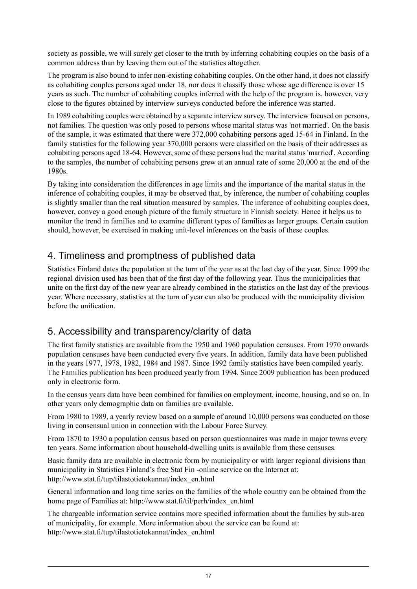society as possible, we will surely get closer to the truth by inferring cohabiting couples on the basis of a common address than by leaving them out of the statistics altogether.

The program is also bound to infer non-existing cohabiting couples. On the other hand, it does not classify as cohabiting couples persons aged under 18, nor does it classify those whose age difference is over 15 years as such. The number of cohabiting couples inferred with the help of the program is, however, very close to the figures obtained by interview surveys conducted before the inference was started.

In 1989 cohabiting couples were obtained by a separate interview survey. The interview focused on persons. not families. The question was only posed to persons whose marital status was 'not married'. On the basis of the sample, it was estimated that there were 372,000 cohabiting persons aged 15-64 in Finland. In the family statistics for the following year 370,000 persons were classified on the basis of their addresses as cohabiting persons aged 18-64. However, some of these persons had the marital status 'married'. According to the samples, the number of cohabiting persons grew at an annual rate of some 20,000 at the end of the 1980s.

By taking into consideration the differences in age limits and the importance of the marital status in the inference of cohabiting couples, it may be observed that, by inference, the number of cohabiting couples is slightly smaller than the real situation measured by samples. The inference of cohabiting couples does, however, convey a good enough picture of the family structure in Finnish society. Hence it helps us to monitor the trend in families and to examine different types of families as larger groups. Certain caution should, however, be exercised in making unit-level inferences on the basis of these couples.

#### 4. Timeliness and promptness of published data

Statistics Finland dates the population at the turn of the year as at the last day of the year. Since 1999 the regional division used has been that of the first day of the following year. Thus the municipalities that unite on the first day of the new year are already combined in the statistics on the last day of the previous year. Where necessary, statistics at the turn of year can also be produced with the municipality division before the unification.

### 5. Accessibility and transparency/clarity of data

The first family statistics are available from the 1950 and 1960 population censuses. From 1970 onwards population censuses have been conducted every five years. In addition, family data have been published in the years 1977, 1978, 1982, 1984 and 1987. Since 1992 family statistics have been compiled yearly. The Families publication has been produced yearly from 1994. Since 2009 publication has been produced only in electronic form.

In the census years data have been combined for families on employment, income, housing, and so on. In other years only demographic data on families are available.

From 1980 to 1989, a yearly review based on a sample of around 10,000 persons was conducted on those living in consensual union in connection with the Labour Force Survey.

From 1870 to 1930 a population census based on person questionnaires was made in major towns every ten years. Some information about household-dwelling units is available from these censuses.

Basic family data are available in electronic form by municipality or with larger regional divisions than municipality in Statistics Finland's free Stat Fin -online service on the Internet at: http://www.stat.fi/tup/tilastotietokannat/index\_en.html

General information and long time series on the families of the whole country can be obtained from the home page of Families at: http://www.stat.fi/til/perh/index\_en.html

The chargeable information service contains more specified information about the families by sub-area of municipality, for example. More information about the service can be found at: http://www.stat.fi/tup/tilastotietokannat/index\_en.html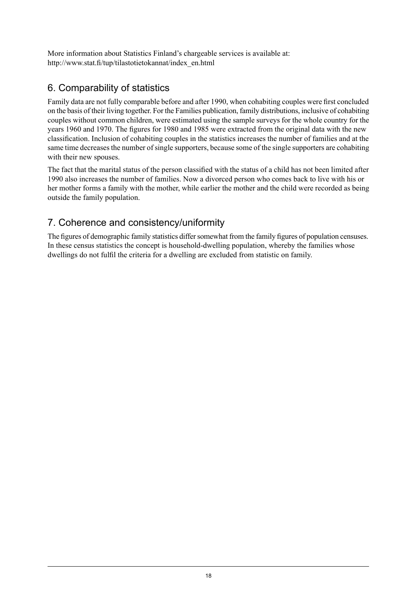More information about Statistics Finland's chargeable services is available at: http://www.stat.fi/tup/tilastotietokannat/index\_en.html

## 6. Comparability of statistics

Family data are not fully comparable before and after 1990, when cohabiting couples were first concluded on the basis of their living together. For the Families publication, family distributions, inclusive of cohabiting couples without common children, were estimated using the sample surveys for the whole country for the years 1960 and 1970. The figures for 1980 and 1985 were extracted from the original data with the new classification. Inclusion of cohabiting couples in the statistics increases the number of families and at the same time decreases the number of single supporters, because some of the single supporters are cohabiting with their new spouses.

The fact that the marital status of the person classified with the status of a child has not been limited after 1990 also increases the number of families. Now a divorced person who comes back to live with his or her mother forms a family with the mother, while earlier the mother and the child were recorded as being outside the family population.

### 7. Coherence and consistency/uniformity

The figures of demographic family statistics differ somewhat from the family figures of population censuses. In these census statistics the concept is household-dwelling population, whereby the families whose dwellings do not fulfil the criteria for a dwelling are excluded from statistic on family.